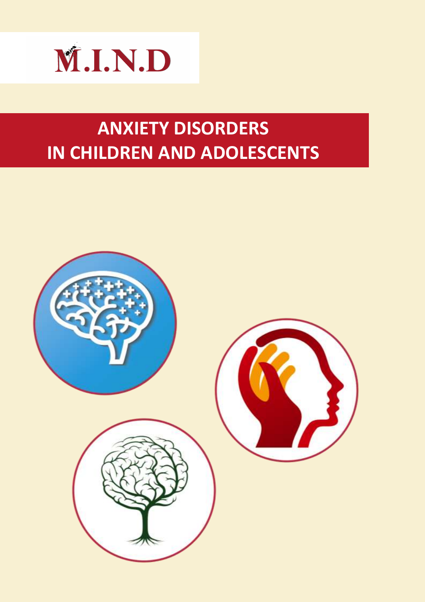

# **ANXIETY DISORDERS** IN CHILDREN AND ADOLESCENTS

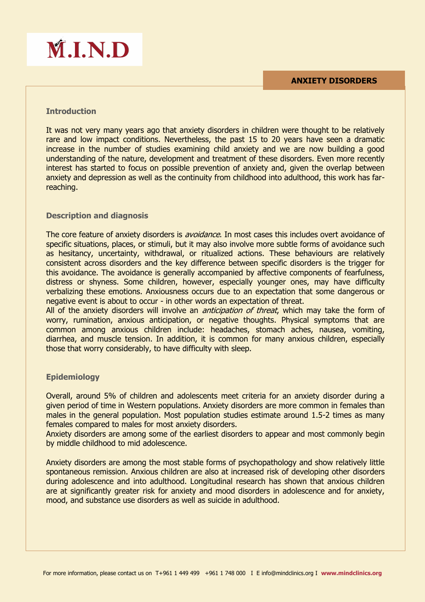

# **M.I.N.D**

## **Introduction**

It was not very many years ago that anxiety disorders in children were thought to be relatively rare and low impact conditions. Nevertheless, the past 15 to 20 years have seen a dramatic increase in the number of studies examining child anxiety and we are now building a good understanding of the nature, development and treatment of these disorders. Even more recently interest has started to focus on possible prevention of anxiety and, given the overlap between anxiety and depression as well as the continuity from childhood into adulthood, this work has farreaching.

### **Description and diagnosis**

The core feature of anxiety disorders is *avoidance*. In most cases this includes overt avoidance of specific situations, places, or stimuli, but it may also involve more subtle forms of avoidance such as hesitancy, uncertainty, withdrawal, or ritualized actions. These behaviours are relatively consistent across disorders and the key difference between specific disorders is the trigger for this avoidance. The avoidance is generally accompanied by affective components of fearfulness, distress or shyness. Some children, however, especially younger ones, may have difficulty verbalizing these emotions. Anxiousness occurs due to an expectation that some dangerous or negative event is about to occur - in other words an expectation of threat.

All of the anxiety disorders will involve an *anticipation of threat*, which may take the form of worry, rumination, anxious anticipation, or negative thoughts. Physical symptoms that are common among anxious children include: headaches, stomach aches, nausea, vomiting, diarrhea, and muscle tension. In addition, it is common for many anxious children, especially those that worry considerably, to have difficulty with sleep.

# **Epidemiology**

Overall, around 5% of children and adolescents meet criteria for an anxiety disorder during a given period of time in Western populations. Anxiety disorders are more common in females than males in the general population. Most population studies estimate around 1.5-2 times as many females compared to males for most anxiety disorders.

Anxiety disorders are among some of the earliest disorders to appear and most commonly begin by middle childhood to mid adolescence.

Anxiety disorders are among the most stable forms of psychopathology and show relatively little spontaneous remission. Anxious children are also at increased risk of developing other disorders during adolescence and into adulthood. Longitudinal research has shown that anxious children are at significantly greater risk for anxiety and mood disorders in adolescence and for anxiety, mood, and substance use disorders as well as suicide in adulthood.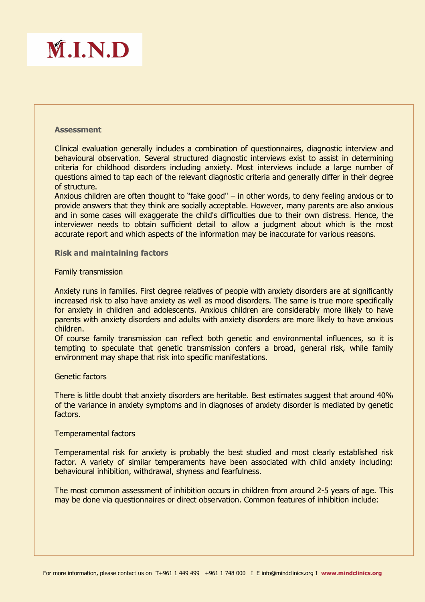

#### **Assessment**

Clinical evaluation generally includes a combination of questionnaires, diagnostic interview and behavioural observation. Several structured diagnostic interviews exist to assist in determining criteria for childhood disorders including anxiety. Most interviews include a large number of questions aimed to tap each of the relevant diagnostic criteria and generally differ in their degree of structure.

Anxious children are often thought to "fake good" – in other words, to deny feeling anxious or to provide answers that they think are socially acceptable. However, many parents are also anxious and in some cases will exaggerate the child's difficulties due to their own distress. Hence, the interviewer needs to obtain sufficient detail to allow a judgment about which is the most accurate report and which aspects of the information may be inaccurate for various reasons.

#### **Risk and maintaining factors**

#### Family transmission

Anxiety runs in families. First degree relatives of people with anxiety disorders are at significantly increased risk to also have anxiety as well as mood disorders. The same is true more specifically for anxiety in children and adolescents. Anxious children are considerably more likely to have parents with anxiety disorders and adults with anxiety disorders are more likely to have anxious children.

Of course family transmission can reflect both genetic and environmental influences, so it is tempting to speculate that genetic transmission confers a broad, general risk, while family environment may shape that risk into specific manifestations.

#### Genetic factors

There is little doubt that anxiety disorders are heritable. Best estimates suggest that around 40% of the variance in anxiety symptoms and in diagnoses of anxiety disorder is mediated by genetic factors.

#### Temperamental factors

Temperamental risk for anxiety is probably the best studied and most clearly established risk factor. A variety of similar temperaments have been associated with child anxiety including: behavioural inhibition, withdrawal, shyness and fearfulness.

The most common assessment of inhibition occurs in children from around 2-5 years of age. This may be done via questionnaires or direct observation. Common features of inhibition include: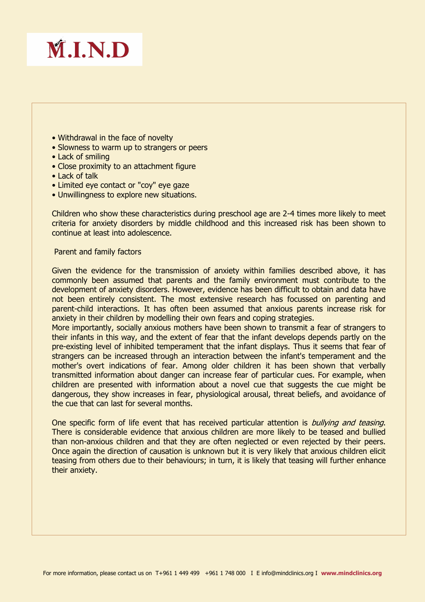

- Withdrawal in the face of novelty
- Slowness to warm up to strangers or peers
- Lack of smiling
- Close proximity to an attachment figure
- Lack of talk
- Limited eye contact or "coy" eye gaze
- Unwillingness to explore new situations.

Children who show these characteristics during preschool age are 2-4 times more likely to meet criteria for anxiety disorders by middle childhood and this increased risk has been shown to continue at least into adolescence.

#### Parent and family factors

Given the evidence for the transmission of anxiety within families described above, it has commonly been assumed that parents and the family environment must contribute to the development of anxiety disorders. However, evidence has been difficult to obtain and data have not been entirely consistent. The most extensive research has focussed on parenting and parent-child interactions. It has often been assumed that anxious parents increase risk for anxiety in their children by modelling their own fears and coping strategies.

More importantly, socially anxious mothers have been shown to transmit a fear of strangers to their infants in this way, and the extent of fear that the infant develops depends partly on the pre-existing level of inhibited temperament that the infant displays. Thus it seems that fear of strangers can be increased through an interaction between the infant's temperament and the mother's overt indications of fear. Among older children it has been shown that verbally transmitted information about danger can increase fear of particular cues. For example, when children are presented with information about a novel cue that suggests the cue might be dangerous, they show increases in fear, physiological arousal, threat beliefs, and avoidance of the cue that can last for several months.

One specific form of life event that has received particular attention is *bullying and teasing*. There is considerable evidence that anxious children are more likely to be teased and bullied than non-anxious children and that they are often neglected or even rejected by their peers. Once again the direction of causation is unknown but it is very likely that anxious children elicit teasing from others due to their behaviours; in turn, it is likely that teasing will further enhance their anxiety.